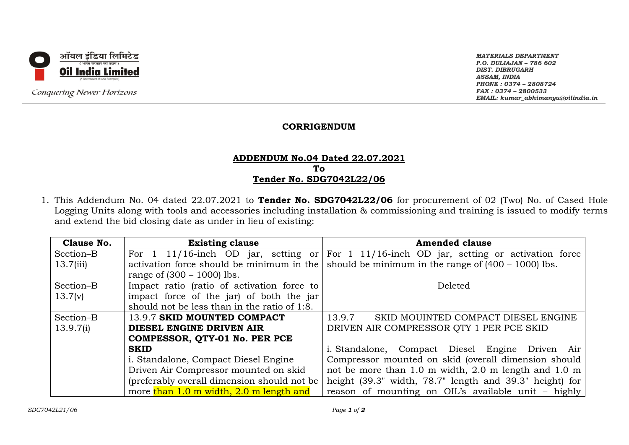

Conquering Newer Horizons

*MATERIALS DEPARTMENT P.O. DULIAJAN – 786 602 DIST. DIBRUGARH ASSAM, INDIA PHONE : 0374 – 2808724 FAX : 0374 – 2800533 EMAIL: kumar\_abhimanyu@oilindia.in*

## **CORRIGENDUM**

## **ADDENDUM No.04 Dated 22.07.2021 To Tender No. SDG7042L22/06**

1. This Addendum No. 04 dated 22.07.2021 to **Tender No. SDG7042L22/06** for procurement of 02 (Two) No. of Cased Hole Logging Units along with tools and accessories including installation & commissioning and training is issued to modify terms and extend the bid closing date as under in lieu of existing:

| <b>Clause No.</b> | <b>Existing clause</b>                       | <b>Amended clause</b>                                   |  |
|-------------------|----------------------------------------------|---------------------------------------------------------|--|
| Section-B         | For $1 \t11/16$ -inch OD jar, setting or     | For 1 11/16-inch OD jar, setting or activation force    |  |
| 13.7(iii)         | activation force should be minimum in the    | should be minimum in the range of $(400 - 1000)$ lbs.   |  |
|                   | range of $(300 - 1000)$ lbs.                 |                                                         |  |
| Section-B         | Impact ratio (ratio of activation force to   | Deleted                                                 |  |
| 13.7(v)           | impact force of the jar) of both the jar     |                                                         |  |
|                   | should not be less than in the ratio of 1:8. |                                                         |  |
| Section-B         | 13.9.7 SKID MOUNTED COMPACT                  | 13.9.7<br>SKID MOUINTED COMPACT DIESEL ENGINE           |  |
| 13.9.7(i)         | DIESEL ENGINE DRIVEN AIR                     | DRIVEN AIR COMPRESSOR QTY 1 PER PCE SKID                |  |
|                   | COMPESSOR, QTY-01 No. PER PCE                |                                                         |  |
|                   | <b>SKID</b>                                  | i. Standalone, Compact Diesel Engine Driven Air         |  |
|                   | i. Standalone, Compact Diesel Engine         | Compressor mounted on skid (overall dimension should    |  |
|                   | Driven Air Compressor mounted on skid        | not be more than 1.0 m width, 2.0 m length and 1.0 m    |  |
|                   | (preferably overall dimension should not be  | height (39.3" width, 78.7" length and 39.3" height) for |  |
|                   | more than 1.0 m width, 2.0 m length and      | reason of mounting on OIL's available unit - highly     |  |